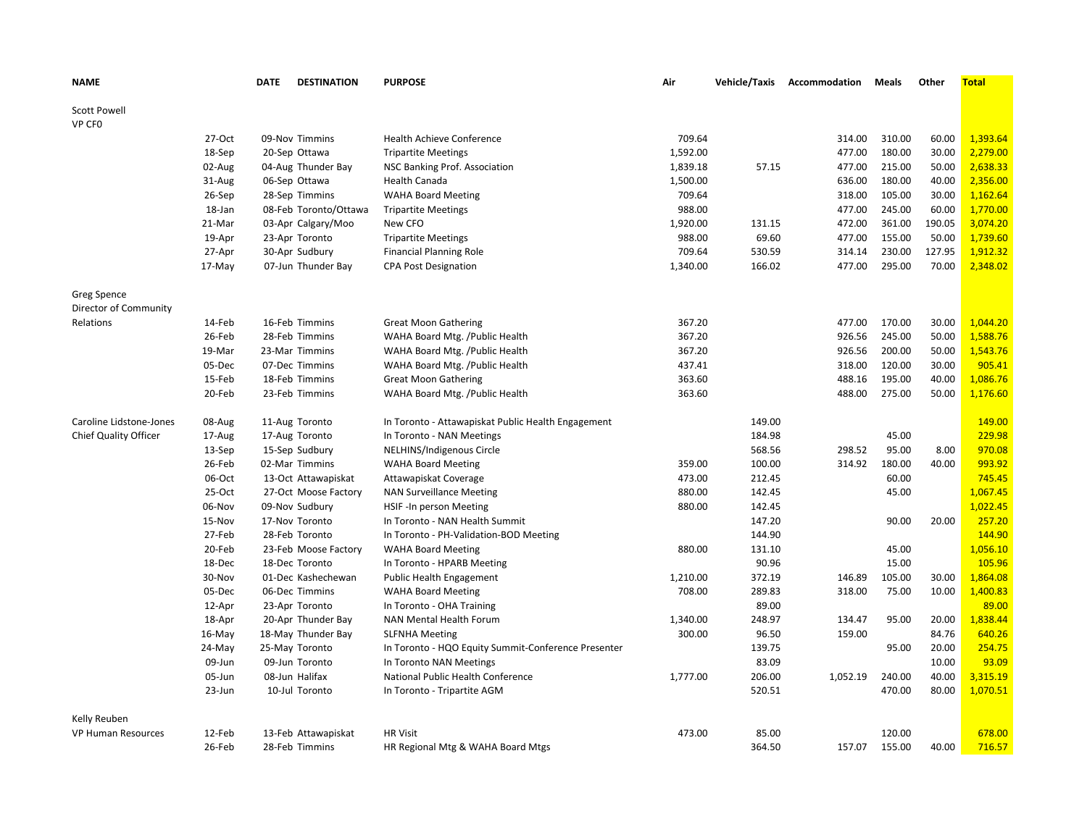| <b>NAME</b>               |          | <b>DATE</b> | <b>DESTINATION</b>    | <b>PURPOSE</b>                                      | Air      | Vehicle/Taxis | Accommodation | Meals  | Other  | <b>Total</b> |
|---------------------------|----------|-------------|-----------------------|-----------------------------------------------------|----------|---------------|---------------|--------|--------|--------------|
| <b>Scott Powell</b>       |          |             |                       |                                                     |          |               |               |        |        |              |
| VP CFO                    |          |             |                       |                                                     |          |               |               |        |        |              |
|                           | 27-Oct   |             | 09-Nov Timmins        | <b>Health Achieve Conference</b>                    | 709.64   |               | 314.00        | 310.00 | 60.00  | 1,393.64     |
|                           | 18-Sep   |             | 20-Sep Ottawa         | <b>Tripartite Meetings</b>                          | 1,592.00 |               | 477.00        | 180.00 | 30.00  | 2,279.00     |
|                           | 02-Aug   |             | 04-Aug Thunder Bay    | NSC Banking Prof. Association                       | 1,839.18 | 57.15         | 477.00        | 215.00 | 50.00  | 2,638.33     |
|                           | 31-Aug   |             | 06-Sep Ottawa         | <b>Health Canada</b>                                | 1,500.00 |               | 636.00        | 180.00 | 40.00  | 2,356.00     |
|                           | 26-Sep   |             | 28-Sep Timmins        | <b>WAHA Board Meeting</b>                           | 709.64   |               | 318.00        | 105.00 | 30.00  | 1,162.64     |
|                           | 18-Jan   |             | 08-Feb Toronto/Ottawa | <b>Tripartite Meetings</b>                          | 988.00   |               | 477.00        | 245.00 | 60.00  | 1,770.00     |
|                           | 21-Mar   |             | 03-Apr Calgary/Moo    | New CFO                                             | 1,920.00 | 131.15        | 472.00        | 361.00 | 190.05 | 3,074.20     |
|                           | 19-Apr   |             | 23-Apr Toronto        | <b>Tripartite Meetings</b>                          | 988.00   | 69.60         | 477.00        | 155.00 | 50.00  | 1,739.60     |
|                           | 27-Apr   |             | 30-Apr Sudbury        | <b>Financial Planning Role</b>                      | 709.64   | 530.59        | 314.14        | 230.00 | 127.95 | 1,912.32     |
|                           | $17-May$ |             | 07-Jun Thunder Bay    | <b>CPA Post Designation</b>                         | 1,340.00 | 166.02        | 477.00        | 295.00 | 70.00  | 2,348.02     |
| <b>Greg Spence</b>        |          |             |                       |                                                     |          |               |               |        |        |              |
| Director of Community     |          |             |                       |                                                     |          |               |               |        |        |              |
| Relations                 | 14-Feb   |             | 16-Feb Timmins        | <b>Great Moon Gathering</b>                         | 367.20   |               | 477.00        | 170.00 | 30.00  | 1.044.20     |
|                           | 26-Feb   |             | 28-Feb Timmins        | WAHA Board Mtg. / Public Health                     | 367.20   |               | 926.56        | 245.00 | 50.00  | 1,588.76     |
|                           | 19-Mar   |             | 23-Mar Timmins        | WAHA Board Mtg. / Public Health                     | 367.20   |               | 926.56        | 200.00 | 50.00  | 1,543.76     |
|                           | 05-Dec   |             | 07-Dec Timmins        | WAHA Board Mtg. / Public Health                     | 437.41   |               | 318.00        | 120.00 | 30.00  | 905.41       |
|                           | 15-Feb   |             | 18-Feb Timmins        | <b>Great Moon Gathering</b>                         | 363.60   |               | 488.16        | 195.00 | 40.00  | 1,086.76     |
|                           | 20-Feb   |             | 23-Feb Timmins        | WAHA Board Mtg. / Public Health                     | 363.60   |               | 488.00        | 275.00 | 50.00  | 1,176.60     |
| Caroline Lidstone-Jones   | 08-Aug   |             | 11-Aug Toronto        | In Toronto - Attawapiskat Public Health Engagement  |          | 149.00        |               |        |        | 149.00       |
| Chief Quality Officer     | 17-Aug   |             | 17-Aug Toronto        | In Toronto - NAN Meetings                           |          | 184.98        |               | 45.00  |        | 229.98       |
|                           | 13-Sep   |             | 15-Sep Sudbury        | NELHINS/Indigenous Circle                           |          | 568.56        | 298.52        | 95.00  | 8.00   | 970.08       |
|                           | 26-Feb   |             | 02-Mar Timmins        | <b>WAHA Board Meeting</b>                           | 359.00   | 100.00        | 314.92        | 180.00 | 40.00  | 993.92       |
|                           | 06-Oct   |             | 13-Oct Attawapiskat   | Attawapiskat Coverage                               | 473.00   | 212.45        |               | 60.00  |        | 745.45       |
|                           | 25-Oct   |             | 27-Oct Moose Factory  | <b>NAN Surveillance Meeting</b>                     | 880.00   | 142.45        |               | 45.00  |        | 1,067.45     |
|                           | 06-Nov   |             | 09-Nov Sudbury        | HSIF-In person Meeting                              | 880.00   | 142.45        |               |        |        | 1,022.45     |
|                           | 15-Nov   |             | 17-Nov Toronto        | In Toronto - NAN Health Summit                      |          | 147.20        |               | 90.00  | 20.00  | 257.20       |
|                           | 27-Feb   |             | 28-Feb Toronto        | In Toronto - PH-Validation-BOD Meeting              |          | 144.90        |               |        |        | 144.90       |
|                           | 20-Feb   |             | 23-Feb Moose Factory  | <b>WAHA Board Meeting</b>                           | 880.00   | 131.10        |               | 45.00  |        | 1,056.10     |
|                           | 18-Dec   |             | 18-Dec Toronto        | In Toronto - HPARB Meeting                          |          | 90.96         |               | 15.00  |        | 105.96       |
|                           | 30-Nov   |             | 01-Dec Kashechewan    | Public Health Engagement                            | 1,210.00 | 372.19        | 146.89        | 105.00 | 30.00  | 1,864.08     |
|                           | 05-Dec   |             | 06-Dec Timmins        | <b>WAHA Board Meeting</b>                           | 708.00   | 289.83        | 318.00        | 75.00  | 10.00  | 1,400.83     |
|                           | 12-Apr   |             | 23-Apr Toronto        | In Toronto - OHA Training                           |          | 89.00         |               |        |        | 89.00        |
|                           | 18-Apr   |             | 20-Apr Thunder Bay    | NAN Mental Health Forum                             | 1,340.00 | 248.97        | 134.47        | 95.00  | 20.00  | 1,838.44     |
|                           | 16-May   |             | 18-May Thunder Bay    | <b>SLFNHA Meeting</b>                               | 300.00   | 96.50         | 159.00        |        | 84.76  | 640.26       |
|                           | 24-May   |             | 25-May Toronto        | In Toronto - HQO Equity Summit-Conference Presenter |          | 139.75        |               | 95.00  | 20.00  | 254.75       |
|                           | 09-Jun   |             | 09-Jun Toronto        | In Toronto NAN Meetings                             |          | 83.09         |               |        | 10.00  | 93.09        |
|                           | 05-Jun   |             | 08-Jun Halifax        | National Public Health Conference                   | 1,777.00 | 206.00        | 1,052.19      | 240.00 | 40.00  | 3,315.19     |
|                           | 23-Jun   |             | 10-Jul Toronto        | In Toronto - Tripartite AGM                         |          | 520.51        |               | 470.00 | 80.00  | 1,070.51     |
| Kelly Reuben              |          |             |                       |                                                     |          |               |               |        |        |              |
| <b>VP Human Resources</b> | 12-Feb   |             | 13-Feb Attawapiskat   | <b>HR Visit</b>                                     | 473.00   | 85.00         |               | 120.00 |        | 678.00       |
|                           | 26-Feb   |             | 28-Feb Timmins        | HR Regional Mtg & WAHA Board Mtgs                   |          | 364.50        | 157.07        | 155.00 | 40.00  | 716.57       |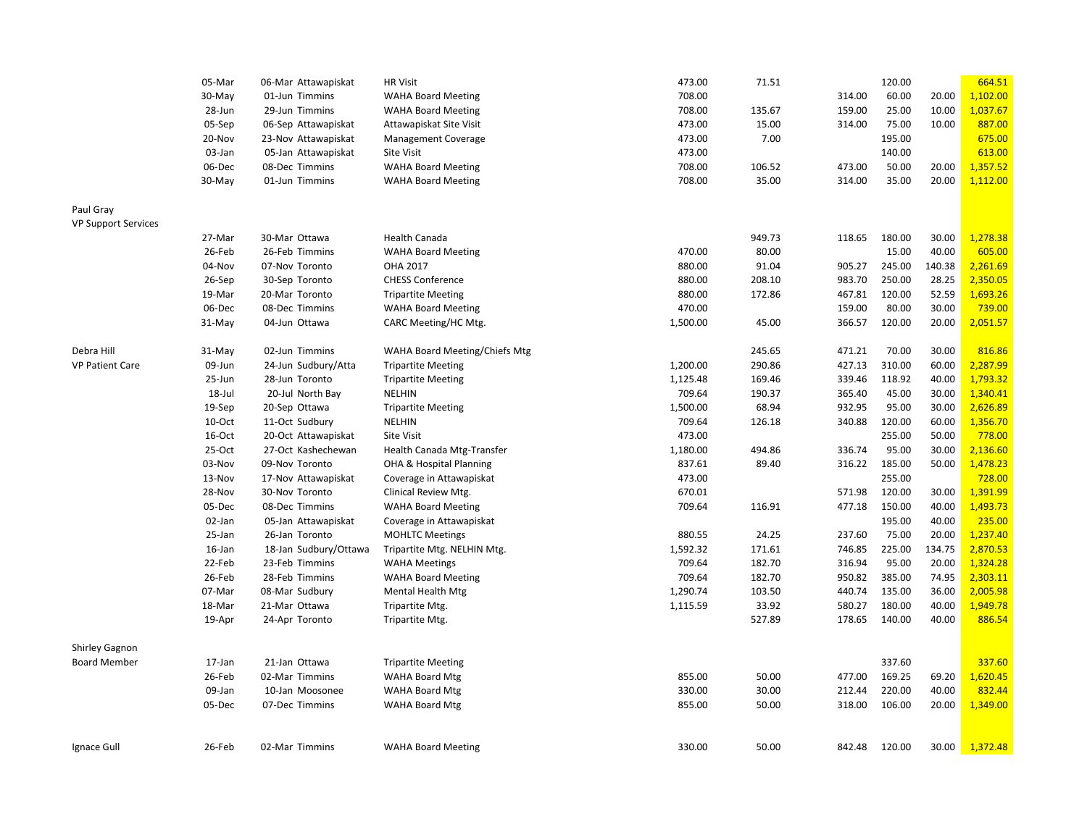|                            | 05-Mar   | <b>HR Visit</b><br>06-Mar Attawapiskat |                               | 473.00   | 71.51  | 120.00 |        |        | 664.51   |
|----------------------------|----------|----------------------------------------|-------------------------------|----------|--------|--------|--------|--------|----------|
|                            | 30-May   | 01-Jun Timmins                         | <b>WAHA Board Meeting</b>     | 708.00   |        | 314.00 | 60.00  | 20.00  | 1,102.00 |
|                            | 28-Jun   | 29-Jun Timmins                         | <b>WAHA Board Meeting</b>     | 708.00   | 135.67 | 159.00 | 25.00  | 10.00  | 1,037.67 |
|                            | 05-Sep   | 06-Sep Attawapiskat                    | Attawapiskat Site Visit       | 473.00   | 15.00  | 314.00 | 75.00  | 10.00  | 887.00   |
|                            | 20-Nov   | 23-Nov Attawapiskat                    | <b>Management Coverage</b>    | 473.00   | 7.00   |        | 195.00 |        | 675.00   |
|                            | 03-Jan   | 05-Jan Attawapiskat                    | Site Visit                    | 473.00   |        |        | 140.00 |        | 613.00   |
|                            | 06-Dec   | 08-Dec Timmins                         | <b>WAHA Board Meeting</b>     | 708.00   | 106.52 | 473.00 | 50.00  | 20.00  | 1,357.52 |
|                            | 30-May   | 01-Jun Timmins                         | <b>WAHA Board Meeting</b>     | 708.00   | 35.00  | 314.00 | 35.00  | 20.00  | 1,112.00 |
|                            |          |                                        |                               |          |        |        |        |        |          |
| Paul Gray                  |          |                                        |                               |          |        |        |        |        |          |
| <b>VP Support Services</b> |          |                                        |                               |          |        |        |        |        |          |
|                            | 27-Mar   | 30-Mar Ottawa                          | <b>Health Canada</b>          |          | 949.73 | 118.65 | 180.00 | 30.00  | 1,278.38 |
|                            | 26-Feb   | 26-Feb Timmins                         | <b>WAHA Board Meeting</b>     | 470.00   | 80.00  |        | 15.00  | 40.00  | 605.00   |
|                            | 04-Nov   | 07-Nov Toronto                         | OHA 2017                      | 880.00   | 91.04  | 905.27 | 245.00 | 140.38 | 2,261.69 |
|                            | 26-Sep   | 30-Sep Toronto                         | <b>CHESS Conference</b>       | 880.00   | 208.10 | 983.70 | 250.00 | 28.25  | 2,350.05 |
|                            | 19-Mar   | 20-Mar Toronto                         | <b>Tripartite Meeting</b>     | 880.00   | 172.86 | 467.81 | 120.00 | 52.59  | 1,693.26 |
|                            | 06-Dec   | 08-Dec Timmins                         | <b>WAHA Board Meeting</b>     | 470.00   |        | 159.00 | 80.00  | 30.00  | 739.00   |
|                            | $31-May$ | 04-Jun Ottawa                          | CARC Meeting/HC Mtg.          | 1,500.00 | 45.00  | 366.57 | 120.00 | 20.00  | 2,051.57 |
|                            |          |                                        |                               |          |        |        |        |        |          |
| Debra Hill                 | 31-May   | 02-Jun Timmins                         | WAHA Board Meeting/Chiefs Mtg |          | 245.65 | 471.21 | 70.00  | 30.00  | 816.86   |
| <b>VP Patient Care</b>     | 09-Jun   | 24-Jun Sudbury/Atta                    | <b>Tripartite Meeting</b>     | 1,200.00 | 290.86 | 427.13 | 310.00 | 60.00  | 2,287.99 |
|                            | 25-Jun   | 28-Jun Toronto                         | <b>Tripartite Meeting</b>     | 1,125.48 | 169.46 | 339.46 | 118.92 | 40.00  | 1,793.32 |
|                            | 18-Jul   | 20-Jul North Bay                       | <b>NELHIN</b>                 | 709.64   | 190.37 | 365.40 | 45.00  | 30.00  | 1,340.41 |
|                            | 19-Sep   | 20-Sep Ottawa                          | <b>Tripartite Meeting</b>     | 1,500.00 | 68.94  | 932.95 | 95.00  | 30.00  | 2,626.89 |
|                            | 10-Oct   | 11-Oct Sudbury                         | NELHIN                        | 709.64   | 126.18 | 340.88 | 120.00 | 60.00  | 1,356.70 |
|                            | 16-Oct   | 20-Oct Attawapiskat                    | Site Visit                    | 473.00   |        |        | 255.00 | 50.00  | 778.00   |
|                            | 25-Oct   | 27-Oct Kashechewan                     | Health Canada Mtg-Transfer    | 1,180.00 | 494.86 | 336.74 | 95.00  | 30.00  | 2,136.60 |
|                            | 03-Nov   | 09-Nov Toronto                         | OHA & Hospital Planning       | 837.61   | 89.40  | 316.22 | 185.00 | 50.00  | 1,478.23 |
|                            | 13-Nov   | 17-Nov Attawapiskat                    | Coverage in Attawapiskat      | 473.00   |        |        | 255.00 |        | 728.00   |
|                            | 28-Nov   | 30-Nov Toronto                         | Clinical Review Mtg.          | 670.01   |        | 571.98 | 120.00 | 30.00  | 1,391.99 |
|                            | 05-Dec   | 08-Dec Timmins                         | <b>WAHA Board Meeting</b>     | 709.64   | 116.91 | 477.18 | 150.00 | 40.00  | 1,493.73 |
|                            | 02-Jan   | 05-Jan Attawapiskat                    | Coverage in Attawapiskat      |          |        |        | 195.00 | 40.00  | 235.00   |
|                            | 25-Jan   | 26-Jan Toronto                         | <b>MOHLTC Meetings</b>        | 880.55   | 24.25  | 237.60 | 75.00  | 20.00  | 1,237.40 |
|                            | 16-Jan   | 18-Jan Sudbury/Ottawa                  | Tripartite Mtg. NELHIN Mtg.   | 1,592.32 | 171.61 | 746.85 | 225.00 | 134.75 | 2,870.53 |
|                            | 22-Feb   | 23-Feb Timmins                         | <b>WAHA Meetings</b>          | 709.64   | 182.70 | 316.94 | 95.00  | 20.00  | 1,324.28 |
|                            | 26-Feb   | 28-Feb Timmins                         | <b>WAHA Board Meeting</b>     | 709.64   | 182.70 | 950.82 | 385.00 | 74.95  | 2,303.11 |
|                            | 07-Mar   | 08-Mar Sudbury                         | Mental Health Mtg             | 1,290.74 | 103.50 | 440.74 | 135.00 | 36.00  | 2,005.98 |
|                            | 18-Mar   | 21-Mar Ottawa                          | Tripartite Mtg.               | 1,115.59 | 33.92  | 580.27 | 180.00 | 40.00  | 1,949.78 |
|                            | 19-Apr   | 24-Apr Toronto                         | Tripartite Mtg.               |          | 527.89 | 178.65 | 140.00 | 40.00  | 886.54   |
|                            |          |                                        |                               |          |        |        |        |        |          |
| <b>Shirley Gagnon</b>      |          |                                        |                               |          |        |        |        |        |          |
| <b>Board Member</b>        | 17-Jan   | 21-Jan Ottawa                          | <b>Tripartite Meeting</b>     |          |        |        | 337.60 |        | 337.60   |
|                            | 26-Feb   | 02-Mar Timmins                         | <b>WAHA Board Mtg</b>         | 855.00   | 50.00  | 477.00 | 169.25 | 69.20  | 1,620.45 |
|                            | 09-Jan   | 10-Jan Moosonee                        | <b>WAHA Board Mtg</b>         | 330.00   | 30.00  | 212.44 | 220.00 | 40.00  | 832.44   |
|                            | 05-Dec   | 07-Dec Timmins                         | <b>WAHA Board Mtg</b>         | 855.00   | 50.00  | 318.00 | 106.00 | 20.00  | 1,349.00 |
|                            |          |                                        |                               |          |        |        |        |        |          |
|                            |          |                                        |                               |          |        |        |        |        |          |
| Ignace Gull                | 26-Feb   | 02-Mar Timmins                         | <b>WAHA Board Meeting</b>     | 330.00   | 50.00  | 842.48 | 120.00 | 30.00  | 1,372.48 |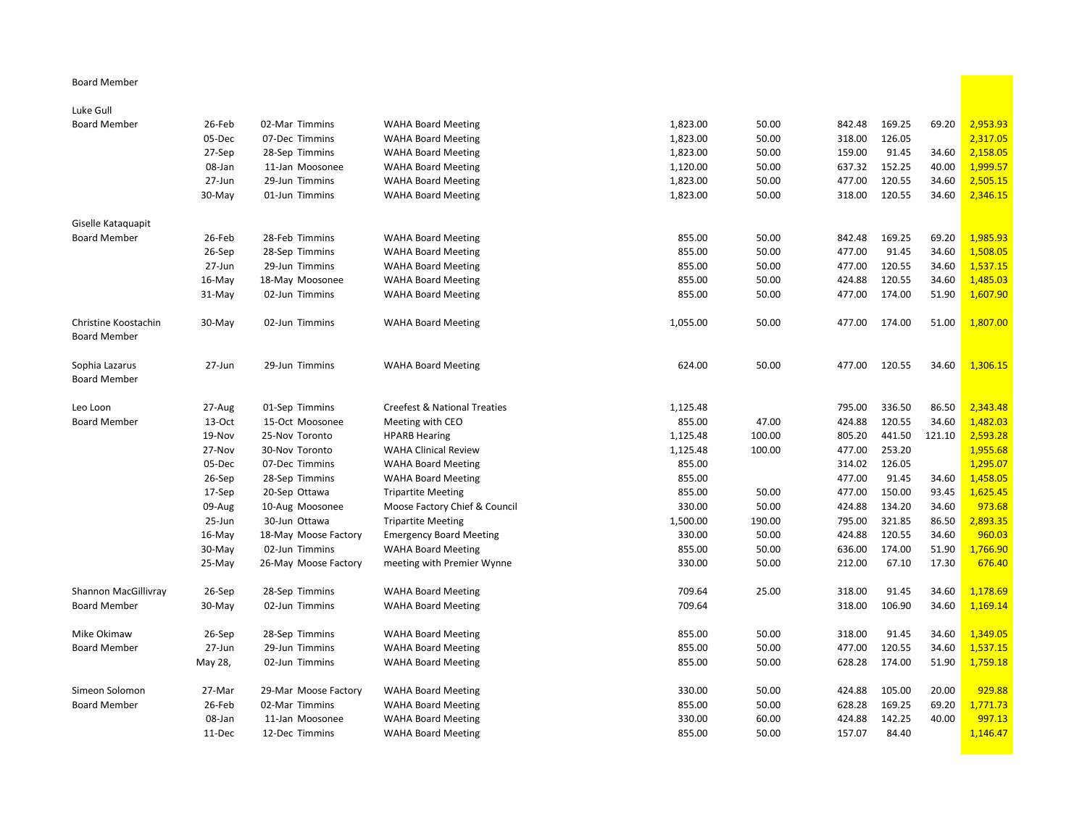## Board Member

## Luke Gull

| <b>Board Member</b>  | 26-Feb    | 02-Mar Timmins       | <b>WAHA Board Meeting</b>                              | 1,823.00 | 50.00  | 842.48 | 169.25 | 69.20  | 2,953.93 |
|----------------------|-----------|----------------------|--------------------------------------------------------|----------|--------|--------|--------|--------|----------|
|                      | 05-Dec    | 07-Dec Timmins       | <b>WAHA Board Meeting</b>                              | 1,823.00 | 50.00  | 318.00 | 126.05 |        | 2,317.05 |
|                      | 27-Sep    | 28-Sep Timmins       | <b>WAHA Board Meeting</b>                              | 1,823.00 | 50.00  | 159.00 | 91.45  | 34.60  | 2,158.05 |
|                      | 08-Jan    | 11-Jan Moosonee      | <b>WAHA Board Meeting</b>                              | 1,120.00 | 50.00  | 637.32 | 152.25 | 40.00  | 1,999.57 |
|                      | 27-Jun    | 29-Jun Timmins       | <b>WAHA Board Meeting</b>                              | 1,823.00 | 50.00  | 477.00 | 120.55 | 34.60  | 2,505.15 |
|                      | 30-May    | 01-Jun Timmins       | <b>WAHA Board Meeting</b>                              | 1,823.00 | 50.00  | 318.00 | 120.55 | 34.60  | 2,346.15 |
|                      |           |                      |                                                        |          |        |        |        |        |          |
| Giselle Kataquapit   |           |                      |                                                        |          |        |        |        |        |          |
| <b>Board Member</b>  | 26-Feb    | 28-Feb Timmins       | <b>WAHA Board Meeting</b>                              | 855.00   | 50.00  | 842.48 | 169.25 | 69.20  | 1,985.93 |
|                      | 26-Sep    | 28-Sep Timmins       | <b>WAHA Board Meeting</b>                              | 855.00   | 50.00  | 477.00 | 91.45  | 34.60  | 1,508.05 |
|                      | 27-Jun    | 29-Jun Timmins       | <b>WAHA Board Meeting</b>                              | 855.00   | 50.00  | 477.00 | 120.55 | 34.60  | 1,537.15 |
|                      | 16-May    | 18-May Moosonee      | <b>WAHA Board Meeting</b>                              | 855.00   | 50.00  | 424.88 | 120.55 | 34.60  | 1,485.03 |
|                      | 31-May    | 02-Jun Timmins       | <b>WAHA Board Meeting</b>                              | 855.00   | 50.00  | 477.00 | 174.00 | 51.90  | 1,607.90 |
|                      |           |                      |                                                        |          |        |        |        |        |          |
| Christine Koostachin | 30-May    | 02-Jun Timmins       | <b>WAHA Board Meeting</b>                              | 1,055.00 | 50.00  | 477.00 | 174.00 | 51.00  | 1,807.00 |
| <b>Board Member</b>  |           |                      |                                                        |          |        |        |        |        |          |
| Sophia Lazarus       | 27-Jun    | 29-Jun Timmins       | <b>WAHA Board Meeting</b>                              | 624.00   | 50.00  | 477.00 | 120.55 | 34.60  | 1,306.15 |
| <b>Board Member</b>  |           |                      |                                                        |          |        |        |        |        |          |
|                      |           |                      |                                                        |          |        |        |        |        |          |
| Leo Loon             | 27-Aug    | 01-Sep Timmins       | <b>Creefest &amp; National Treaties</b>                | 1,125.48 |        | 795.00 | 336.50 | 86.50  | 2,343.48 |
| <b>Board Member</b>  | 13-Oct    | 15-Oct Moosonee      | Meeting with CEO                                       | 855.00   | 47.00  | 424.88 | 120.55 | 34.60  | 1,482.03 |
|                      | 19-Nov    | 25-Nov Toronto       | <b>HPARB Hearing</b>                                   | 1,125.48 | 100.00 | 805.20 | 441.50 | 121.10 | 2,593.28 |
|                      | 27-Nov    | 30-Nov Toronto       | <b>WAHA Clinical Review</b>                            | 1,125.48 | 100.00 | 477.00 | 253.20 |        | 1,955.68 |
|                      | 05-Dec    | 07-Dec Timmins       | <b>WAHA Board Meeting</b>                              | 855.00   |        | 314.02 | 126.05 |        | 1,295.07 |
|                      | 26-Sep    | 28-Sep Timmins       | <b>WAHA Board Meeting</b>                              | 855.00   |        | 477.00 | 91.45  | 34.60  | 1,458.05 |
|                      | 17-Sep    | 20-Sep Ottawa        | <b>Tripartite Meeting</b>                              | 855.00   | 50.00  | 477.00 | 150.00 | 93.45  | 1,625.45 |
|                      | 09-Aug    | 10-Aug Moosonee      | Moose Factory Chief & Council                          | 330.00   | 50.00  | 424.88 | 134.20 | 34.60  | 973.68   |
|                      | 25-Jun    | 30-Jun Ottawa        | <b>Tripartite Meeting</b>                              | 1,500.00 | 190.00 | 795.00 | 321.85 | 86.50  | 2,893.35 |
|                      | $16$ -May | 18-May Moose Factory | <b>Emergency Board Meeting</b>                         | 330.00   | 50.00  | 424.88 | 120.55 | 34.60  | 960.03   |
|                      | 30-May    | 02-Jun Timmins       | <b>WAHA Board Meeting</b>                              | 855.00   | 50.00  | 636.00 | 174.00 | 51.90  | 1,766.90 |
|                      | 25-May    | 26-May Moose Factory | meeting with Premier Wynne                             | 330.00   | 50.00  | 212.00 | 67.10  | 17.30  | 676.40   |
| Shannon MacGillivray | 26-Sep    | 28-Sep Timmins       |                                                        | 709.64   | 25.00  | 318.00 | 91.45  | 34.60  | 1,178.69 |
| <b>Board Member</b>  |           | 02-Jun Timmins       | <b>WAHA Board Meeting</b><br><b>WAHA Board Meeting</b> | 709.64   |        | 318.00 | 106.90 | 34.60  | 1,169.14 |
|                      | 30-May    |                      |                                                        |          |        |        |        |        |          |
| Mike Okimaw          | 26-Sep    | 28-Sep Timmins       | <b>WAHA Board Meeting</b>                              | 855.00   | 50.00  | 318.00 | 91.45  | 34.60  | 1,349.05 |
| <b>Board Member</b>  | 27-Jun    | 29-Jun Timmins       | <b>WAHA Board Meeting</b>                              | 855.00   | 50.00  | 477.00 | 120.55 | 34.60  | 1,537.15 |
|                      | May 28,   | 02-Jun Timmins       | <b>WAHA Board Meeting</b>                              | 855.00   | 50.00  | 628.28 | 174.00 | 51.90  | 1,759.18 |
|                      |           |                      |                                                        |          |        |        |        |        |          |
| Simeon Solomon       | 27-Mar    | 29-Mar Moose Factory | <b>WAHA Board Meeting</b>                              | 330.00   | 50.00  | 424.88 | 105.00 | 20.00  | 929.88   |
| <b>Board Member</b>  | 26-Feb    | 02-Mar Timmins       | <b>WAHA Board Meeting</b>                              | 855.00   | 50.00  | 628.28 | 169.25 | 69.20  | 1,771.73 |
|                      | 08-Jan    | 11-Jan Moosonee      | <b>WAHA Board Meeting</b>                              | 330.00   | 60.00  | 424.88 | 142.25 | 40.00  | 997.13   |
|                      | 11-Dec    | 12-Dec Timmins       | <b>WAHA Board Meeting</b>                              | 855.00   | 50.00  | 157.07 | 84.40  |        | 1,146.47 |